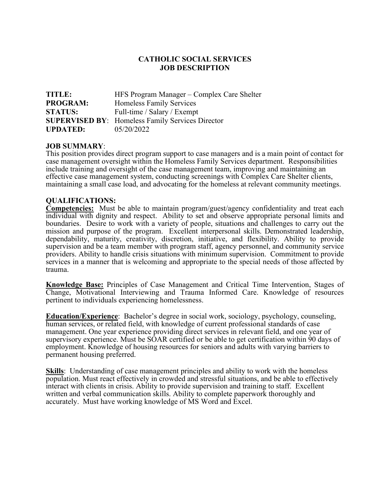## **CATHOLIC SOCIAL SERVICES JOB DESCRIPTION**

| TITLE:          | HFS Program Manager – Complex Care Shelter              |
|-----------------|---------------------------------------------------------|
| <b>PROGRAM:</b> | Homeless Family Services                                |
| <b>STATUS:</b>  | Full-time / Salary / Exempt                             |
|                 | <b>SUPERVISED BY:</b> Homeless Family Services Director |
| <b>UPDATED:</b> | 05/20/2022                                              |

#### **JOB SUMMARY**:

This position provides direct program support to case managers and is a main point of contact for case management oversight within the Homeless Family Services department. Responsibilities include training and oversight of the case management team, improving and maintaining an effective case management system, conducting screenings with Complex Care Shelter clients, maintaining a small case load, and advocating for the homeless at relevant community meetings.

#### **QUALIFICATIONS:**

**Competencies:** Must be able to maintain program/guest/agency confidentiality and treat each individual with dignity and respect. Ability to set and observe appropriate personal limits and boundaries. Desire to work with a variety of people, situations and challenges to carry out the mission and purpose of the program. Excellent interpersonal skills. Demonstrated leadership, dependability, maturity, creativity, discretion, initiative, and flexibility. Ability to provide supervision and be a team member with program staff, agency personnel, and community service providers. Ability to handle crisis situations with minimum supervision. Commitment to provide services in a manner that is welcoming and appropriate to the special needs of those affected by trauma.

**Knowledge Base:** Principles of Case Management and Critical Time Intervention, Stages of Change, Motivational Interviewing and Trauma Informed Care. Knowledge of resources pertinent to individuals experiencing homelessness.

**Education/Experience**: Bachelor's degree in social work, sociology, psychology, counseling, human services, or related field, with knowledge of current professional standards of case management. One year experience providing direct services in relevant field, and one year of supervisory experience. Must be SOAR certified or be able to get certification within 90 days of employment. Knowledge of housing resources for seniors and adults with varying barriers to permanent housing preferred.

**Skills**: Understanding of case management principles and ability to work with the homeless population. Must react effectively in crowded and stressful situations, and be able to effectively interact with clients in crisis. Ability to provide supervision and training to staff. Excellent written and verbal communication skills. Ability to complete paperwork thoroughly and accurately. Must have working knowledge of MS Word and Excel.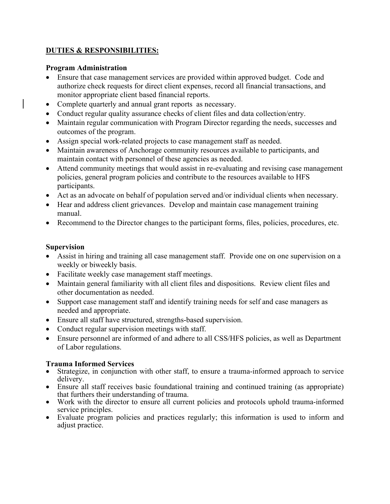## **DUTIES & RESPONSIBILITIES:**

### **Program Administration**

- Ensure that case management services are provided within approved budget. Code and authorize check requests for direct client expenses, record all financial transactions, and monitor appropriate client based financial reports.
- Complete quarterly and annual grant reports as necessary.
- Conduct regular quality assurance checks of client files and data collection/entry.
- Maintain regular communication with Program Director regarding the needs, successes and outcomes of the program.
- Assign special work-related projects to case management staff as needed.
- Maintain awareness of Anchorage community resources available to participants, and maintain contact with personnel of these agencies as needed.
- Attend community meetings that would assist in re-evaluating and revising case management policies, general program policies and contribute to the resources available to HFS participants.
- Act as an advocate on behalf of population served and/or individual clients when necessary.
- Hear and address client grievances. Develop and maintain case management training manual.
- Recommend to the Director changes to the participant forms, files, policies, procedures, etc.

#### **Supervision**

- Assist in hiring and training all case management staff. Provide one on one supervision on a weekly or biweekly basis.
- Facilitate weekly case management staff meetings.
- Maintain general familiarity with all client files and dispositions. Review client files and other documentation as needed.
- Support case management staff and identify training needs for self and case managers as needed and appropriate.
- Ensure all staff have structured, strengths-based supervision.
- Conduct regular supervision meetings with staff.
- Ensure personnel are informed of and adhere to all CSS/HFS policies, as well as Department of Labor regulations.

- **Trauma Informed Services**<br>• Strategize, in conjunction with other staff, to ensure a trauma-informed approach to service delivery.<br>• Ensure all staff receives basic foundational training and continued training (as appropriate)
- that furthers their understanding of trauma.
- Work with the director to ensure all current policies and protocols uphold trauma-informed service principles.
- Evaluate program policies and practices regularly; this information is used to inform and adjust practice.